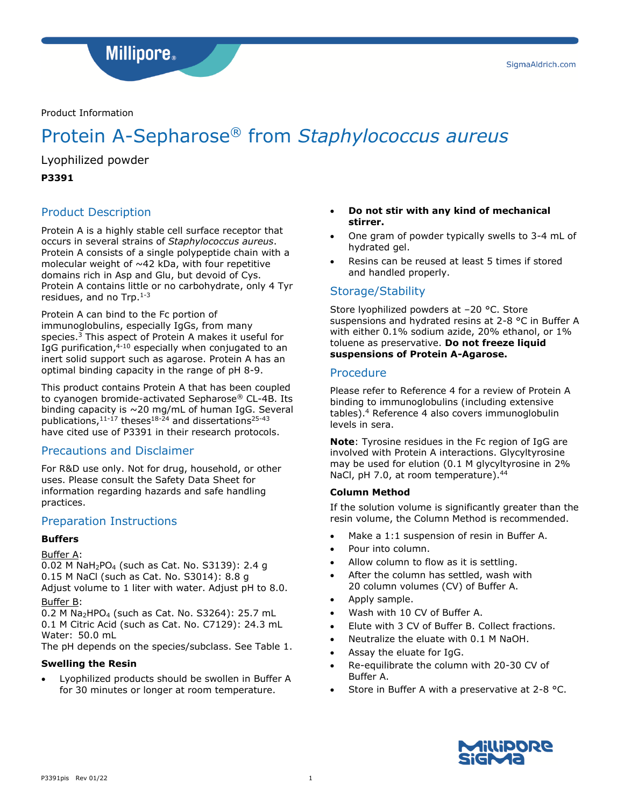**Millipore**.

## Product Information

# Protein A-Sepharose® from *Staphylococcus aureus*

Lyophilized powder

## **P3391**

## Product Description

Protein A is a highly stable cell surface receptor that occurs in several strains of *Staphylococcus aureus*. Protein A consists of a single polypeptide chain with a molecular weight of  $~142$  kDa, with four repetitive domains rich in Asp and Glu, but devoid of Cys. Protein A contains little or no carbohydrate, only 4 Tyr residues, and no Trp.<sup>1-3</sup>

Protein A can bind to the Fc portion of immunoglobulins, especially IgGs, from many species.<sup>3</sup> This aspect of Protein A makes it useful for IgG purification,<sup>4-10</sup> especially when conjugated to an inert solid support such as agarose. Protein A has an optimal binding capacity in the range of pH 8-9.

This product contains Protein A that has been coupled to cyanogen bromide-activated Sepharose® CL-4B. Its binding capacity is ~20 mg/mL of human IgG. Several publications, 11-17 theses<sup>18-24</sup> and dissertations<sup>25-43</sup> have cited use of P3391 in their research protocols.

## Precautions and Disclaimer

For R&D use only. Not for drug, household, or other uses. Please consult the Safety Data Sheet for information regarding hazards and safe handling practices.

## Preparation Instructions

## **Buffers**

## Buffer A:

0.02 M NaH2PO<sup>4</sup> (such as Cat. No. S3139): 2.4 g 0.15 M NaCl (such as Cat. No. S3014): 8.8 g Adjust volume to 1 liter with water. Adjust pH to 8.0.

## Buffer B:

0.2 M Na<sub>2</sub>HPO<sub>4</sub> (such as Cat. No. S3264): 25.7 mL 0.1 M Citric Acid (such as Cat. No. C7129): 24.3 mL Water: 50.0 mL

The pH depends on the species/subclass. See Table 1.

## **Swelling the Resin**

• Lyophilized products should be swollen in Buffer A for 30 minutes or longer at room temperature.

- **Do not stir with any kind of mechanical stirrer.**
- One gram of powder typically swells to 3-4 mL of hydrated gel.
- Resins can be reused at least 5 times if stored and handled properly.

## Storage/Stability

Store lyophilized powders at –20 °C. Store suspensions and hydrated resins at 2-8 °C in Buffer A with either 0.1% sodium azide, 20% ethanol, or 1% toluene as preservative. **Do not freeze liquid suspensions of Protein A-Agarose.**

## Procedure

Please refer to Reference 4 for a review of Protein A binding to immunoglobulins (including extensive tables).<sup>4</sup> Reference 4 also covers immunoglobulin levels in sera.

**Note**: Tyrosine residues in the Fc region of IgG are involved with Protein A interactions. Glycyltyrosine may be used for elution (0.1 M glycyltyrosine in 2% NaCl, pH 7.0, at room temperature).<sup>44</sup>

## **Column Method**

If the solution volume is significantly greater than the resin volume, the Column Method is recommended.

- Make a 1:1 suspension of resin in Buffer A.
- Pour into column.
- Allow column to flow as it is settling.
- After the column has settled, wash with 20 column volumes (CV) of Buffer A.
- Apply sample.
- Wash with 10 CV of Buffer A.
- Elute with 3 CV of Buffer B. Collect fractions.
- Neutralize the eluate with 0.1 M NaOH.
- Assay the eluate for IgG.
- Re-equilibrate the column with 20-30 CV of Buffer A.
- Store in Buffer A with a preservative at 2-8 °C.

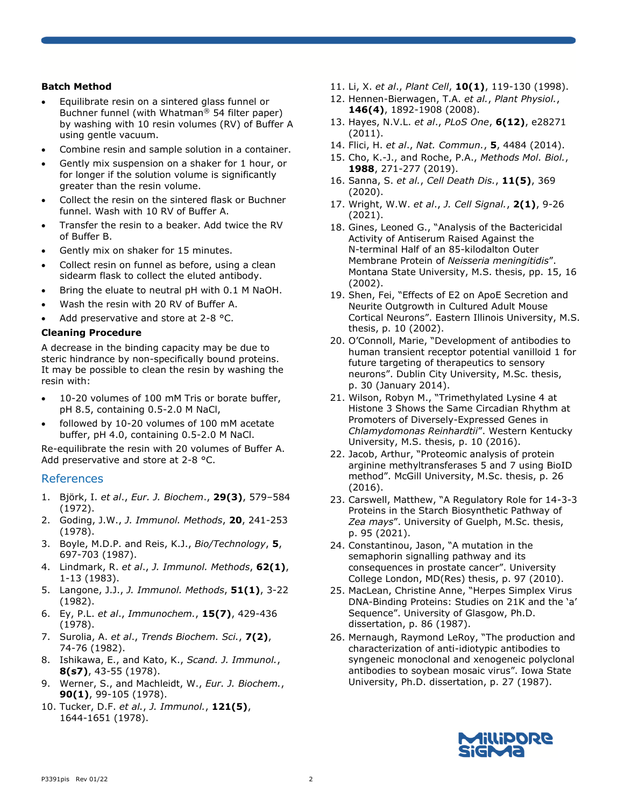## **Batch Method**

- Equilibrate resin on a sintered glass funnel or Buchner funnel (with Whatman® 54 filter paper) by washing with 10 resin volumes (RV) of Buffer A using gentle vacuum.
- Combine resin and sample solution in a container.
- Gently mix suspension on a shaker for 1 hour, or for longer if the solution volume is significantly greater than the resin volume.
- Collect the resin on the sintered flask or Buchner funnel. Wash with 10 RV of Buffer A.
- Transfer the resin to a beaker. Add twice the RV of Buffer B.
- Gently mix on shaker for 15 minutes.
- Collect resin on funnel as before, using a clean sidearm flask to collect the eluted antibody.
- Bring the eluate to neutral pH with 0.1 M NaOH.
- Wash the resin with 20 RV of Buffer A.
- Add preservative and store at 2-8 °C.

#### **Cleaning Procedure**

A decrease in the binding capacity may be due to steric hindrance by non-specifically bound proteins. It may be possible to clean the resin by washing the resin with:

- 10-20 volumes of 100 mM Tris or borate buffer, pH 8.5, containing 0.5-2.0 M NaCl,
- followed by 10-20 volumes of 100 mM acetate buffer, pH 4.0, containing 0.5-2.0 M NaCl.

Re-equilibrate the resin with 20 volumes of Buffer A. Add preservative and store at 2-8 °C.

#### References

- 1. Björk, I. *et al*., *Eur. J. Biochem*., **29(3)**, 579–584 (1972).
- 2. Goding, J.W., *J. Immunol. Methods*, **20**, 241-253 (1978).
- 3. Boyle, M.D.P. and Reis, K.J., *Bio/Technology*, **5**, 697-703 (1987).
- 4. Lindmark, R. *et al*., *J. Immunol. Methods*, **62(1)**, 1-13 (1983).
- 5. Langone, J.J., *J. Immunol. Methods*, **51(1)**, 3-22 (1982).
- 6. Ey, P.L. *et al*., *Immunochem.*, **15(7)**, 429-436 (1978).
- 7. Surolia, A. *et al*., *Trends Biochem. Sci.*, **7(2)**, 74-76 (1982).
- 8. Ishikawa, E., and Kato, K., *Scand. J. Immunol.*, **8(s7)**, 43-55 (1978).
- 9. Werner, S., and Machleidt, W., *Eur. J. Biochem.*, **90(1)**, 99-105 (1978).
- 10. Tucker, D.F. *et al.*, *J. Immunol.*, **121(5)**, 1644-1651 (1978).
- 11. Li, X. *et al*., *Plant Cell*, **10(1)**, 119-130 (1998).
- 12. Hennen-Bierwagen, T.A. *et al.*, *Plant Physiol.*, **146(4)**, 1892-1908 (2008).
- 13. Hayes, N.V.L. *et al*., *PLoS One*, **6(12)**, e28271 (2011).
- 14. Flici, H. *et al*., *Nat. Commun.*, **5**, 4484 (2014).
- 15. Cho, K.-J., and Roche, P.A., *Methods Mol. Biol.*, **1988**, 271-277 (2019).
- 16. Sanna, S. *et al.*, *Cell Death Dis.*, **11(5)**, 369 (2020).
- 17. Wright, W.W. *et al*., *J. Cell Signal.*, **2(1)**, 9-26 (2021).
- 18. Gines, Leoned G., "Analysis of the Bactericidal Activity of Antiserum Raised Against the N-terminal Half of an 85-kilodalton Outer Membrane Protein of *Neisseria meningitidis*". Montana State University, M.S. thesis, pp. 15, 16 (2002).
- 19. Shen, Fei, "Effects of E2 on ApoE Secretion and Neurite Outgrowth in Cultured Adult Mouse Cortical Neurons". Eastern Illinois University, M.S. thesis, p. 10 (2002).
- 20. O'Connoll, Marie, "Development of antibodies to human transient receptor potential vanilloid 1 for future targeting of therapeutics to sensory neurons". Dublin City University, M.Sc. thesis, p. 30 (January 2014).
- 21. Wilson, Robyn M., "Trimethylated Lysine 4 at Histone 3 Shows the Same Circadian Rhythm at Promoters of Diversely-Expressed Genes in *Chlamydomonas Reinhardtii*". Western Kentucky University, M.S. thesis, p. 10 (2016).
- 22. Jacob, Arthur, "Proteomic analysis of protein arginine methyltransferases 5 and 7 using BioID method". McGill University, M.Sc. thesis, p. 26 (2016).
- 23. Carswell, Matthew, "A Regulatory Role for 14-3-3 Proteins in the Starch Biosynthetic Pathway of *Zea mays*". University of Guelph, M.Sc. thesis, p. 95 (2021).
- 24. Constantinou, Jason, "A mutation in the semaphorin signalling pathway and its consequences in prostate cancer". University College London, MD(Res) thesis, p. 97 (2010).
- 25. MacLean, Christine Anne, "Herpes Simplex Virus DNA-Binding Proteins: Studies on 21K and the 'a' Sequence". University of Glasgow, Ph.D. dissertation, p. 86 (1987).
- 26. Mernaugh, Raymond LeRoy, "The production and characterization of anti-idiotypic antibodies to syngeneic monoclonal and xenogeneic polyclonal antibodies to soybean mosaic virus". Iowa State University, Ph.D. dissertation, p. 27 (1987).

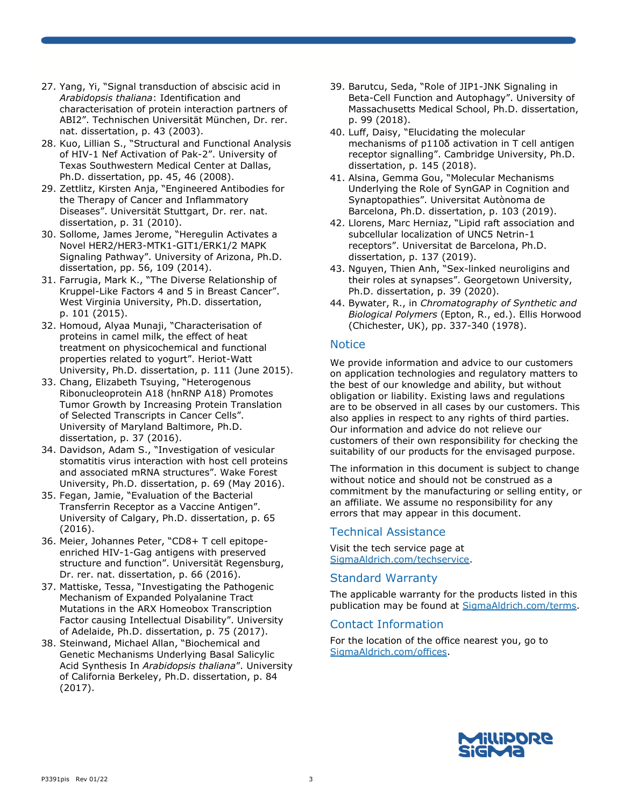- 27. Yang, Yi, "Signal transduction of abscisic acid in *Arabidopsis thaliana*: Identification and characterisation of protein interaction partners of ABI2". Technischen Universität München, Dr. rer. nat. dissertation, p. 43 (2003).
- 28. Kuo, Lillian S., "Structural and Functional Analysis of HIV-1 Nef Activation of Pak-2". University of Texas Southwestern Medical Center at Dallas, Ph.D. dissertation, pp. 45, 46 (2008).
- 29. Zettlitz, Kirsten Anja, "Engineered Antibodies for the Therapy of Cancer and Inflammatory Diseases". Universität Stuttgart, Dr. rer. nat. dissertation, p. 31 (2010).
- 30. Sollome, James Jerome, "Heregulin Activates a Novel HER2/HER3-MTK1-GIT1/ERK1/2 MAPK Signaling Pathway". University of Arizona, Ph.D. dissertation, pp. 56, 109 (2014).
- 31. Farrugia, Mark K., "The Diverse Relationship of Kruppel-Like Factors 4 and 5 in Breast Cancer". West Virginia University, Ph.D. dissertation, p. 101 (2015).
- 32. Homoud, Alyaa Munaji, "Characterisation of proteins in camel milk, the effect of heat treatment on physicochemical and functional properties related to yogurt". Heriot-Watt University, Ph.D. dissertation, p. 111 (June 2015).
- 33. Chang, Elizabeth Tsuying, "Heterogenous Ribonucleoprotein A18 (hnRNP A18) Promotes Tumor Growth by Increasing Protein Translation of Selected Transcripts in Cancer Cells". University of Maryland Baltimore, Ph.D. dissertation, p. 37 (2016).
- 34. Davidson, Adam S., "Investigation of vesicular stomatitis virus interaction with host cell proteins and associated mRNA structures". Wake Forest University, Ph.D. dissertation, p. 69 (May 2016).
- 35. Fegan, Jamie, "Evaluation of the Bacterial Transferrin Receptor as a Vaccine Antigen". University of Calgary, Ph.D. dissertation, p. 65 (2016).
- 36. Meier, Johannes Peter, "CD8+ T cell epitopeenriched HIV-1-Gag antigens with preserved structure and function". Universität Regensburg, Dr. rer. nat. dissertation, p. 66 (2016).
- 37. Mattiske, Tessa, "Investigating the Pathogenic Mechanism of Expanded Polyalanine Tract Mutations in the ARX Homeobox Transcription Factor causing Intellectual Disability". University of Adelaide, Ph.D. dissertation, p. 75 (2017).
- 38. Steinwand, Michael Allan, "Biochemical and Genetic Mechanisms Underlying Basal Salicylic Acid Synthesis In *Arabidopsis thaliana*". University of California Berkeley, Ph.D. dissertation, p. 84 (2017).
- 39. Barutcu, Seda, "Role of JIP1-JNK Signaling in Beta-Cell Function and Autophagy". University of Massachusetts Medical School, Ph.D. dissertation, p. 99 (2018).
- 40. Luff, Daisy, "Elucidating the molecular mechanisms of p110δ activation in T cell antigen receptor signalling". Cambridge University, Ph.D. dissertation, p. 145 (2018).
- 41. Alsina, Gemma Gou, "Molecular Mechanisms Underlying the Role of SynGAP in Cognition and Synaptopathies". Universitat Autònoma de Barcelona, Ph.D. dissertation, p. 103 (2019).
- 42. Llorens, Marc Herniaz, "Lipid raft association and subcellular localization of UNC5 Netrin-1 receptors". Universitat de Barcelona, Ph.D. dissertation, p. 137 (2019).
- 43. Nguyen, Thien Anh, "Sex-linked neuroligins and their roles at synapses". Georgetown University, Ph.D. dissertation, p. 39 (2020).
- 44. Bywater, R., in *Chromatography of Synthetic and Biological Polymers* (Epton, R., ed.). Ellis Horwood (Chichester, UK), pp. 337-340 (1978).

## **Notice**

We provide information and advice to our customers on application technologies and regulatory matters to the best of our knowledge and ability, but without obligation or liability. Existing laws and regulations are to be observed in all cases by our customers. This also applies in respect to any rights of third parties. Our information and advice do not relieve our customers of their own responsibility for checking the suitability of our products for the envisaged purpose.

The information in this document is subject to change without notice and should not be construed as a commitment by the manufacturing or selling entity, or an affiliate. We assume no responsibility for any errors that may appear in this document.

# Technical Assistance

Visit the tech service page at SigmaAldrich.com/techservice.

## Standard Warranty

The applicable warranty for the products listed in this publication may be found at SigmaAldrich.com/terms.

# Contact Information

For the location of the office nearest you, go to SigmaAldrich.com/offices.